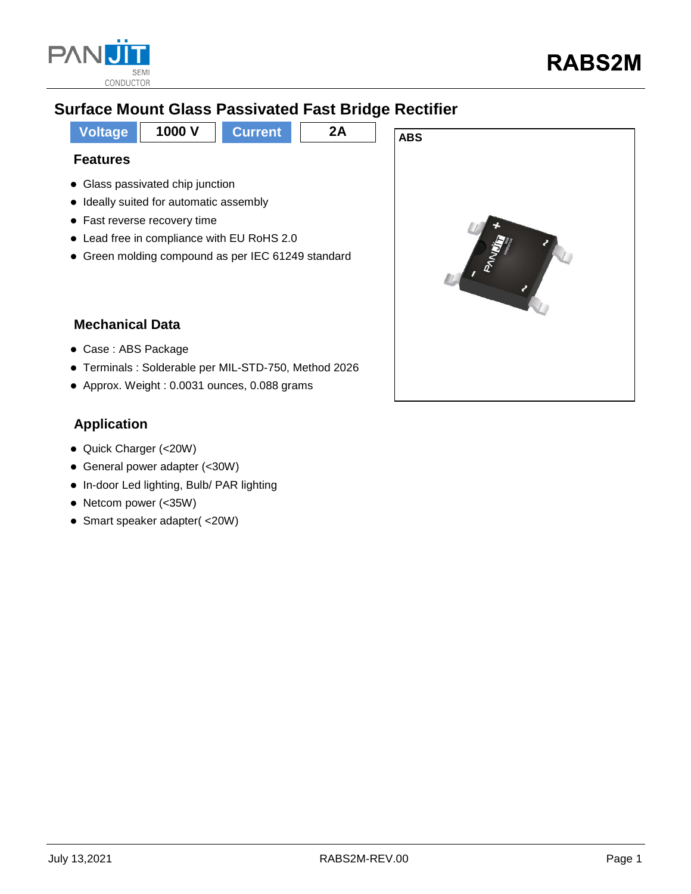

## **Surface Mount Glass Passivated Fast Bridge Rectifier**

**Voltage 1000 V Current 2A ABS Features** • Glass passivated chip junction

- Ideally suited for automatic assembly
- Fast reverse recovery time
- Lead free in compliance with EU RoHS 2.0
- Green molding compound as per IEC 61249 standard



### **Mechanical Data**

- Case : ABS Package
- Terminals : Solderable per MIL-STD-750, Method 2026
- Approx. Weight : 0.0031 ounces, 0.088 grams

### **Application**

- Quick Charger (<20W)
- General power adapter (<30W)
- In-door Led lighting, Bulb/ PAR lighting
- Netcom power (<35W)
- Smart speaker adapter( <20W)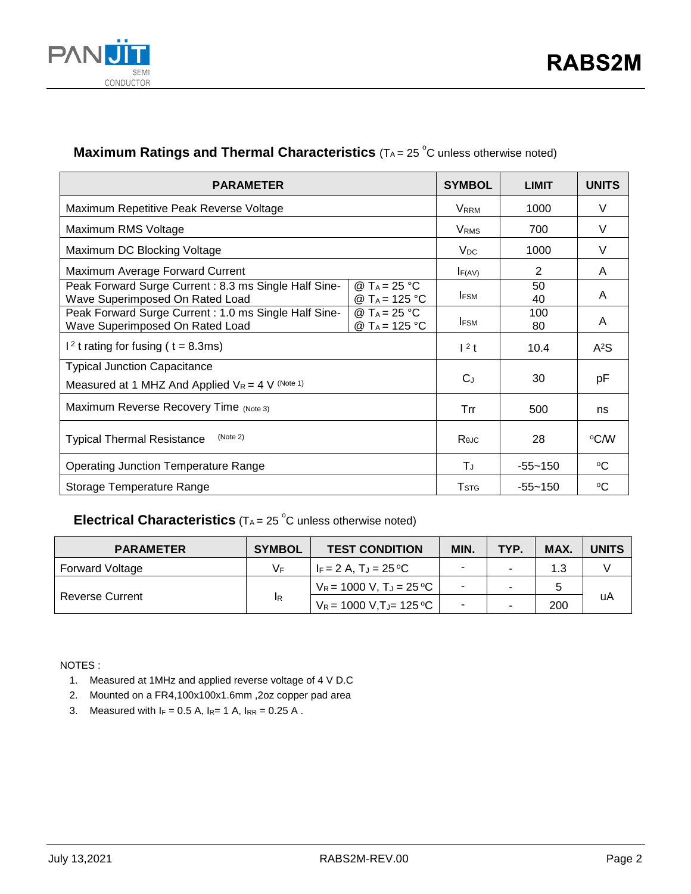

### **Maximum Ratings and Thermal Characteristics** (TA= 25 °C unless otherwise noted)

| <b>PARAMETER</b>                                                                                                                                 | <b>SYMBOL</b>           | <b>LIMIT</b> | <b>UNITS</b>     |
|--------------------------------------------------------------------------------------------------------------------------------------------------|-------------------------|--------------|------------------|
| Maximum Repetitive Peak Reverse Voltage                                                                                                          | <b>V</b> <sub>RRM</sub> | 1000         | V                |
| Maximum RMS Voltage                                                                                                                              | VRMS                    | 700          | V                |
| Maximum DC Blocking Voltage                                                                                                                      | $V_{DC}$                | 1000         | V                |
| Maximum Average Forward Current                                                                                                                  | F(AV)                   | 2            | A                |
| Peak Forward Surge Current: 8.3 ms Single Half Sine-<br>@ T <sub>A</sub> = 25 °C<br>Wave Superimposed On Rated Load<br>@ T <sub>A</sub> = 125 °C | <b>IFSM</b>             | 50<br>40     | A                |
| Peak Forward Surge Current: 1.0 ms Single Half Sine-<br>@ T <sub>A</sub> = 25 °C<br>Wave Superimposed On Rated Load<br>@ T <sub>A</sub> = 125 °C | <b>IFSM</b>             | 100<br>80    | A                |
| $12$ t rating for fusing ( t = 8.3ms)                                                                                                            | $12$ t                  | 10.4         | A <sup>2</sup> S |
| <b>Typical Junction Capacitance</b><br>Measured at 1 MHZ And Applied $V_R = 4$ V (Note 1)                                                        | $C_{J}$                 | 30           | рF               |
| Maximum Reverse Recovery Time (Note 3)                                                                                                           | Trr                     | 500          | ns               |
| (Note 2)<br><b>Typical Thermal Resistance</b>                                                                                                    | $R_{\theta$ J $C}$      | 28           | °C⁄W             |
| <b>Operating Junction Temperature Range</b>                                                                                                      | ΤJ                      | $-55 - 150$  | $\rm ^{o}C$      |
| Storage Temperature Range                                                                                                                        | <b>T</b> <sub>STG</sub> | $-55 - 150$  | ∘C               |

### **Electrical Characteristics** (T<sub>A</sub> = 25 °C unless otherwise noted)

| <b>PARAMETER</b>       | <b>SYMBOL</b> | <b>TEST CONDITION</b>       | MIN.                     | TYP. | MAX. | <b>UNITS</b> |  |
|------------------------|---------------|-----------------------------|--------------------------|------|------|--------------|--|
| <b>Forward Voltage</b> | V⊧            | IF = 2 A. TJ = 25 °C        |                          |      |      |              |  |
| <b>Reverse Current</b> | <b>IR</b>     | $V_R = 1000 V, T_J = 25 °C$ | $\overline{\phantom{0}}$ |      |      |              |  |
|                        |               | $V_R$ = 1000 V,TJ= 125 °C   |                          |      | 200  | uA           |  |

NOTES :

- 1. Measured at 1MHz and applied reverse voltage of 4 V D.C
- 2. Mounted on a FR4,100x100x1.6mm ,2oz copper pad area
- 3. Measured with  $I_F = 0.5$  A,  $I_{R} = 1$  A,  $I_{RR} = 0.25$  A.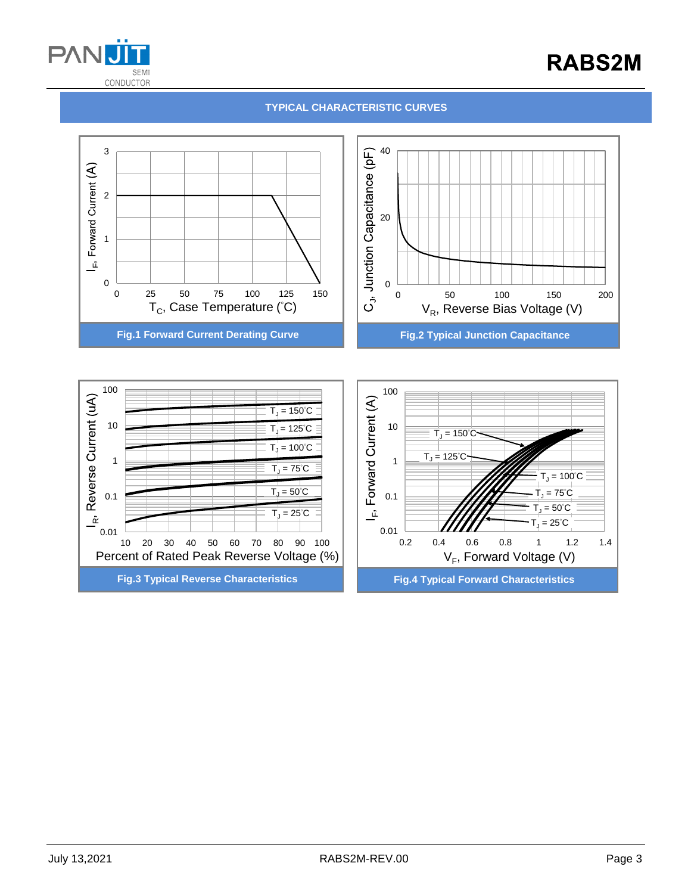

# **RABS2M**

#### **TYPICAL CHARACTERISTIC CURVES**



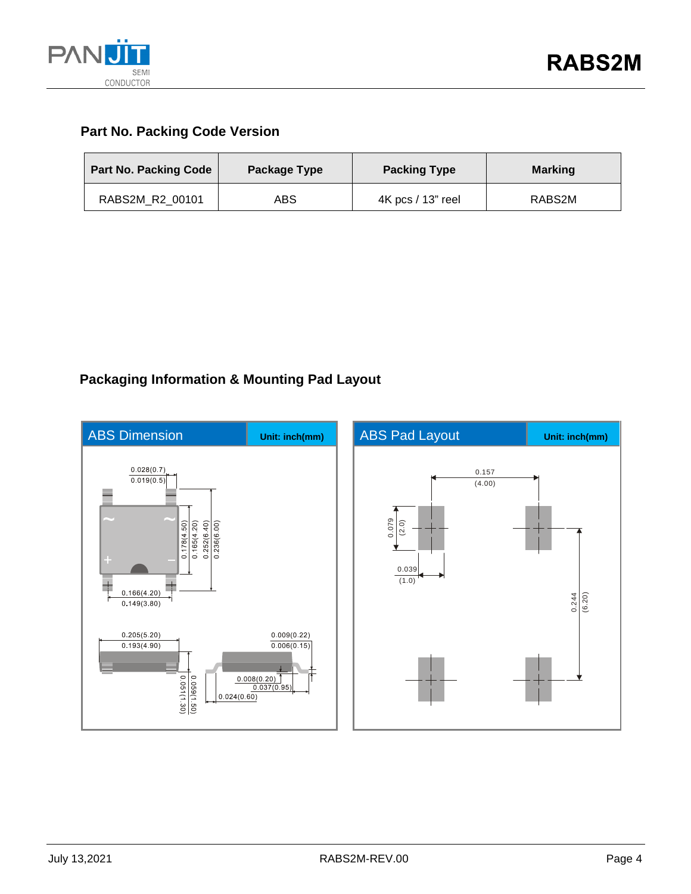

### **Part No. Packing Code Version**

| <b>Part No. Packing Code</b> | Package Type | <b>Packing Type</b> | <b>Marking</b> |
|------------------------------|--------------|---------------------|----------------|
| RABS2M R2 00101              | ABS          | 4K pcs / 13" reel   | RABS2M         |

## **Packaging Information & Mounting Pad Layout**